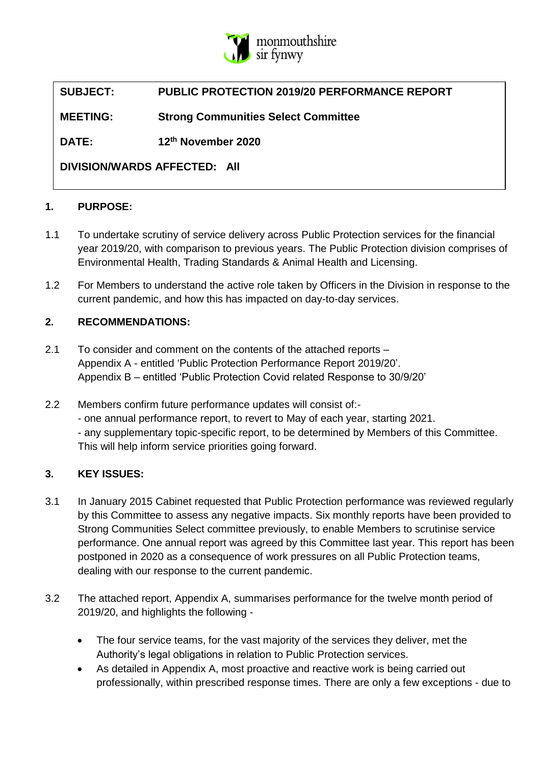

# **SUBJECT: PUBLIC PROTECTION 2019/20 PERFORMANCE REPORT**

**MEETING: Strong Communities Select Committee**

**DATE: 12th November 2020**

**DIVISION/WARDS AFFECTED: All**

### **1. PURPOSE:**

- 1.1 To undertake scrutiny of service delivery across Public Protection services for the financial year 2019/20, with comparison to previous years. The Public Protection division comprises of Environmental Health, Trading Standards & Animal Health and Licensing.
- 1.2 For Members to understand the active role taken by Officers in the Division in response to the current pandemic, and how this has impacted on day-to-day services.

### **2. RECOMMENDATIONS:**

- 2.1 To consider and comment on the contents of the attached reports Appendix A - entitled 'Public Protection Performance Report 2019/20'. Appendix B – entitled 'Public Protection Covid related Response to 30/9/20'
- 2.2 Members confirm future performance updates will consist of:- - one annual performance report, to revert to May of each year, starting 2021. - any supplementary topic-specific report, to be determined by Members of this Committee. This will help inform service priorities going forward.

### **3. KEY ISSUES:**

- 3.1 In January 2015 Cabinet requested that Public Protection performance was reviewed regularly by this Committee to assess any negative impacts. Six monthly reports have been provided to Strong Communities Select committee previously, to enable Members to scrutinise service performance. One annual report was agreed by this Committee last year. This report has been postponed in 2020 as a consequence of work pressures on all Public Protection teams, dealing with our response to the current pandemic.
- 3.2 The attached report, Appendix A, summarises performance for the twelve month period of 2019/20, and highlights the following -
	- The four service teams, for the vast majority of the services they deliver, met the Authority's legal obligations in relation to Public Protection services.
	- As detailed in Appendix A, most proactive and reactive work is being carried out professionally, within prescribed response times. There are only a few exceptions - due to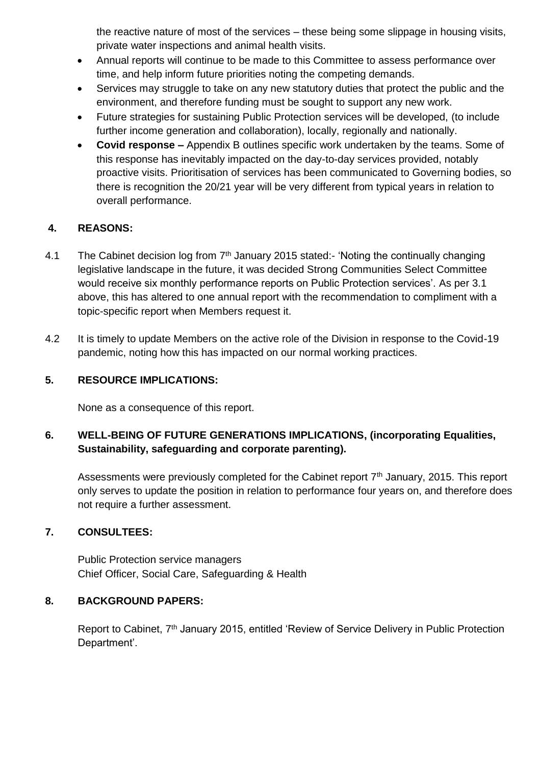the reactive nature of most of the services – these being some slippage in housing visits, private water inspections and animal health visits.

- Annual reports will continue to be made to this Committee to assess performance over time, and help inform future priorities noting the competing demands.
- Services may struggle to take on any new statutory duties that protect the public and the environment, and therefore funding must be sought to support any new work.
- Future strategies for sustaining Public Protection services will be developed, (to include further income generation and collaboration), locally, regionally and nationally.
- **Covid response –** Appendix B outlines specific work undertaken by the teams. Some of this response has inevitably impacted on the day-to-day services provided, notably proactive visits. Prioritisation of services has been communicated to Governing bodies, so there is recognition the 20/21 year will be very different from typical years in relation to overall performance.

### **4. REASONS:**

- 4.1 The Cabinet decision log from  $7<sup>th</sup>$  January 2015 stated:- 'Noting the continually changing legislative landscape in the future, it was decided Strong Communities Select Committee would receive six monthly performance reports on Public Protection services'. As per 3.1 above, this has altered to one annual report with the recommendation to compliment with a topic-specific report when Members request it.
- 4.2 It is timely to update Members on the active role of the Division in response to the Covid-19 pandemic, noting how this has impacted on our normal working practices.

### **5. RESOURCE IMPLICATIONS:**

None as a consequence of this report.

### **6. WELL-BEING OF FUTURE GENERATIONS IMPLICATIONS, (incorporating Equalities, Sustainability, safeguarding and corporate parenting).**

Assessments were previously completed for the Cabinet report  $7<sup>th</sup>$  January, 2015. This report only serves to update the position in relation to performance four years on, and therefore does not require a further assessment.

### **7. CONSULTEES:**

Public Protection service managers Chief Officer, Social Care, Safeguarding & Health

### **8. BACKGROUND PAPERS:**

Report to Cabinet, 7th January 2015, entitled 'Review of Service Delivery in Public Protection Department'.